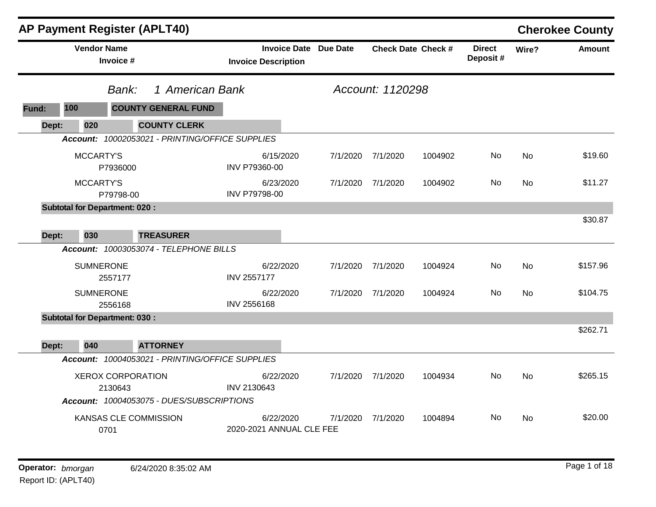|       | <b>AP Payment Register (APLT40)</b>  |                                     |                                                 |                                       |                              |                   |                           |                           |           | <b>Cherokee County</b> |
|-------|--------------------------------------|-------------------------------------|-------------------------------------------------|---------------------------------------|------------------------------|-------------------|---------------------------|---------------------------|-----------|------------------------|
|       | <b>Vendor Name</b>                   | Invoice #                           |                                                 | <b>Invoice Description</b>            | <b>Invoice Date Due Date</b> |                   | <b>Check Date Check #</b> | <b>Direct</b><br>Deposit# | Wire?     | <b>Amount</b>          |
|       |                                      | Bank:                               | 1 American Bank                                 |                                       |                              | Account: 1120298  |                           |                           |           |                        |
| Fund: | 100                                  |                                     | <b>COUNTY GENERAL FUND</b>                      |                                       |                              |                   |                           |                           |           |                        |
| Dept: | 020                                  |                                     | <b>COUNTY CLERK</b>                             |                                       |                              |                   |                           |                           |           |                        |
|       |                                      |                                     | Account: 10002053021 - PRINTING/OFFICE SUPPLIES |                                       |                              |                   |                           |                           |           |                        |
|       | MCCARTY'S                            | P7936000                            |                                                 | 6/15/2020<br>INV P79360-00            | 7/1/2020                     | 7/1/2020          | 1004902                   | No.                       | <b>No</b> | \$19.60                |
|       | MCCARTY'S                            | P79798-00                           |                                                 | 6/23/2020<br>INV P79798-00            |                              | 7/1/2020 7/1/2020 | 1004902                   | No                        | <b>No</b> | \$11.27                |
|       | <b>Subtotal for Department: 020:</b> |                                     |                                                 |                                       |                              |                   |                           |                           |           |                        |
|       |                                      |                                     |                                                 |                                       |                              |                   |                           |                           |           | \$30.87                |
| Dept: | 030                                  |                                     | <b>TREASURER</b>                                |                                       |                              |                   |                           |                           |           |                        |
|       |                                      |                                     | Account: 10003053074 - TELEPHONE BILLS          |                                       |                              |                   |                           |                           |           |                        |
|       | <b>SUMNERONE</b>                     | 2557177                             |                                                 | 6/22/2020<br><b>INV 2557177</b>       | 7/1/2020                     | 7/1/2020          | 1004924                   | No.                       | <b>No</b> | \$157.96               |
|       | <b>SUMNERONE</b>                     | 2556168                             |                                                 | 6/22/2020<br>INV 2556168              |                              | 7/1/2020 7/1/2020 | 1004924                   | No.                       | <b>No</b> | \$104.75               |
|       | <b>Subtotal for Department: 030:</b> |                                     |                                                 |                                       |                              |                   |                           |                           |           |                        |
|       |                                      |                                     |                                                 |                                       |                              |                   |                           |                           |           | \$262.71               |
| Dept: | 040                                  |                                     | <b>ATTORNEY</b>                                 |                                       |                              |                   |                           |                           |           |                        |
|       |                                      |                                     | Account: 10004053021 - PRINTING/OFFICE SUPPLIES |                                       |                              |                   |                           |                           |           |                        |
|       |                                      | <b>XEROX CORPORATION</b><br>2130643 |                                                 | 6/22/2020<br>INV 2130643              | 7/1/2020                     | 7/1/2020          | 1004934                   | No                        | <b>No</b> | \$265.15               |
|       |                                      |                                     | Account: 10004053075 - DUES/SUBSCRIPTIONS       |                                       |                              |                   |                           |                           |           |                        |
|       |                                      | KANSAS CLE COMMISSION<br>0701       |                                                 | 6/22/2020<br>2020-2021 ANNUAL CLE FEE | 7/1/2020                     | 7/1/2020          | 1004894                   | No.                       | No        | \$20.00                |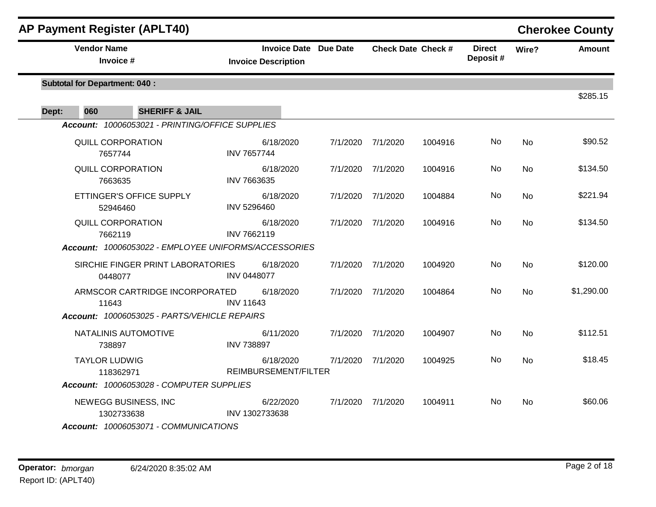| <b>AP Payment Register (APLT40)</b>                  |                            |           |                       |                   |                           |                           |           | <b>Cherokee County</b> |
|------------------------------------------------------|----------------------------|-----------|-----------------------|-------------------|---------------------------|---------------------------|-----------|------------------------|
| <b>Vendor Name</b><br>Invoice #                      | <b>Invoice Description</b> |           | Invoice Date Due Date |                   | <b>Check Date Check #</b> | <b>Direct</b><br>Deposit# | Wire?     | <b>Amount</b>          |
| <b>Subtotal for Department: 040:</b>                 |                            |           |                       |                   |                           |                           |           | \$285.15               |
| Dept:<br>060<br><b>SHERIFF &amp; JAIL</b>            |                            |           |                       |                   |                           |                           |           |                        |
| Account: 10006053021 - PRINTING/OFFICE SUPPLIES      |                            |           |                       |                   |                           |                           |           |                        |
| QUILL CORPORATION<br>7657744                         | <b>INV 7657744</b>         | 6/18/2020 | 7/1/2020              | 7/1/2020          | 1004916                   | No                        | No        | \$90.52                |
| QUILL CORPORATION<br>7663635                         | INV 7663635                | 6/18/2020 |                       | 7/1/2020 7/1/2020 | 1004916                   | No                        | <b>No</b> | \$134.50               |
| ETTINGER'S OFFICE SUPPLY<br>52946460                 | INV 5296460                | 6/18/2020 |                       | 7/1/2020 7/1/2020 | 1004884                   | No.                       | No        | \$221.94               |
| <b>QUILL CORPORATION</b><br>7662119                  | INV 7662119                | 6/18/2020 |                       | 7/1/2020 7/1/2020 | 1004916                   | No                        | <b>No</b> | \$134.50               |
| Account: 10006053022 - EMPLOYEE UNIFORMS/ACCESSORIES |                            |           |                       |                   |                           |                           |           |                        |
| SIRCHIE FINGER PRINT LABORATORIES<br>0448077         | <b>INV 0448077</b>         | 6/18/2020 | 7/1/2020              | 7/1/2020          | 1004920                   | No                        | <b>No</b> | \$120.00               |
| ARMSCOR CARTRIDGE INCORPORATED<br>11643              | <b>INV 11643</b>           | 6/18/2020 | 7/1/2020              | 7/1/2020          | 1004864                   | No                        | <b>No</b> | \$1,290.00             |
| Account: 10006053025 - PARTS/VEHICLE REPAIRS         |                            |           |                       |                   |                           |                           |           |                        |
| NATALINIS AUTOMOTIVE<br>738897                       | <b>INV 738897</b>          | 6/11/2020 |                       | 7/1/2020 7/1/2020 | 1004907                   | No                        | <b>No</b> | \$112.51               |
| <b>TAYLOR LUDWIG</b><br>118362971                    | REIMBURSEMENT/FILTER       | 6/18/2020 |                       | 7/1/2020 7/1/2020 | 1004925                   | No                        | <b>No</b> | \$18.45                |
| Account: 10006053028 - COMPUTER SUPPLIES             |                            |           |                       |                   |                           |                           |           |                        |
| NEWEGG BUSINESS, INC<br>1302733638                   | INV 1302733638             | 6/22/2020 |                       | 7/1/2020 7/1/2020 | 1004911                   | No.                       | No        | \$60.06                |
| Account: 10006053071 - COMMUNICATIONS                |                            |           |                       |                   |                           |                           |           |                        |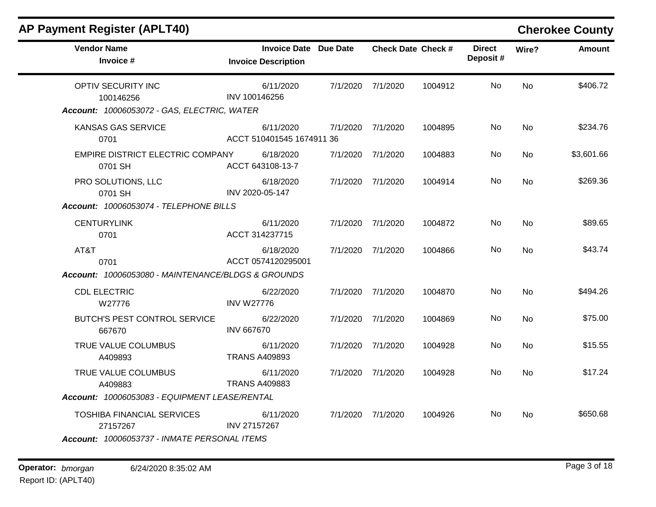| <b>Vendor Name</b><br>Invoice #                                                               | <b>Invoice Date Due Date</b><br><b>Invoice Description</b> |                   | <b>Check Date Check #</b> | <b>Direct</b><br>Deposit# | Wire?     | <b>Amount</b> |
|-----------------------------------------------------------------------------------------------|------------------------------------------------------------|-------------------|---------------------------|---------------------------|-----------|---------------|
| OPTIV SECURITY INC<br>100146256                                                               | 6/11/2020<br>INV 100146256                                 | 7/1/2020 7/1/2020 | 1004912                   | No.                       | <b>No</b> | \$406.72      |
| Account: 10006053072 - GAS, ELECTRIC, WATER                                                   |                                                            |                   |                           |                           |           |               |
| <b>KANSAS GAS SERVICE</b><br>0701                                                             | 6/11/2020<br>ACCT 510401545 1674911 36                     | 7/1/2020 7/1/2020 | 1004895                   | No.                       | <b>No</b> | \$234.76      |
| EMPIRE DISTRICT ELECTRIC COMPANY<br>0701 SH                                                   | 6/18/2020<br>ACCT 643108-13-7                              | 7/1/2020 7/1/2020 | 1004883                   | No.                       | No        | \$3,601.66    |
| PRO SOLUTIONS, LLC<br>0701 SH                                                                 | 6/18/2020<br>INV 2020-05-147                               | 7/1/2020 7/1/2020 | 1004914                   | No                        | No        | \$269.36      |
| Account: 10006053074 - TELEPHONE BILLS                                                        |                                                            |                   |                           |                           |           |               |
| <b>CENTURYLINK</b><br>0701                                                                    | 6/11/2020<br>ACCT 314237715                                | 7/1/2020 7/1/2020 | 1004872                   | No                        | <b>No</b> | \$89.65       |
| AT&T<br>0701                                                                                  | 6/18/2020<br>ACCT 0574120295001                            | 7/1/2020 7/1/2020 | 1004866                   | No.                       | No        | \$43.74       |
| Account: 10006053080 - MAINTENANCE/BLDGS & GROUNDS                                            |                                                            |                   |                           |                           |           |               |
| <b>CDL ELECTRIC</b><br>W27776                                                                 | 6/22/2020<br><b>INV W27776</b>                             | 7/1/2020 7/1/2020 | 1004870                   | No.                       | <b>No</b> | \$494.26      |
| BUTCH'S PEST CONTROL SERVICE<br>667670                                                        | 6/22/2020<br><b>INV 667670</b>                             | 7/1/2020 7/1/2020 | 1004869                   | No                        | No        | \$75.00       |
| TRUE VALUE COLUMBUS<br>A409893                                                                | 6/11/2020<br><b>TRANS A409893</b>                          | 7/1/2020 7/1/2020 | 1004928                   | No                        | <b>No</b> | \$15.55       |
| TRUE VALUE COLUMBUS<br>A409883                                                                | 6/11/2020<br><b>TRANS A409883</b>                          | 7/1/2020 7/1/2020 | 1004928                   | No.                       | No        | \$17.24       |
| Account: 10006053083 - EQUIPMENT LEASE/RENTAL                                                 |                                                            |                   |                           |                           |           |               |
| <b>TOSHIBA FINANCIAL SERVICES</b><br>27157267<br>Account: 10006053737 - INMATE PERSONAL ITEMS | 6/11/2020<br>INV 27157267                                  | 7/1/2020 7/1/2020 | 1004926                   | No.                       | No        | \$650.68      |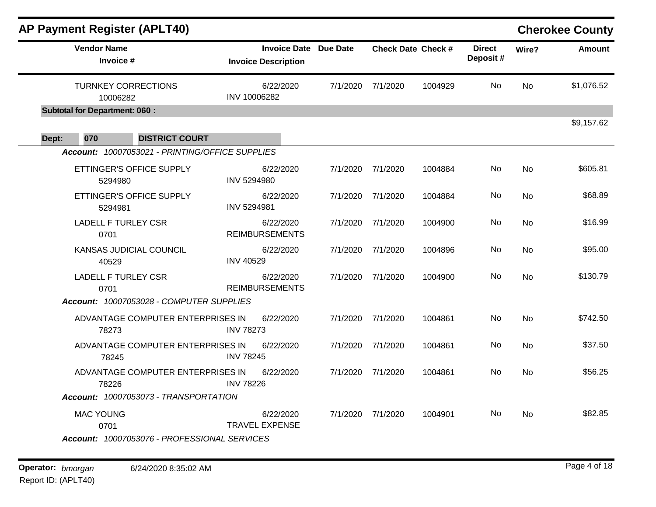|       |                                        | <b>AP Payment Register (APLT40)</b>                                      |                    |                                                            |          |                           |         |                           |           | <b>Cherokee County</b> |
|-------|----------------------------------------|--------------------------------------------------------------------------|--------------------|------------------------------------------------------------|----------|---------------------------|---------|---------------------------|-----------|------------------------|
|       | <b>Vendor Name</b><br>Invoice #        |                                                                          |                    | <b>Invoice Date Due Date</b><br><b>Invoice Description</b> |          | <b>Check Date Check #</b> |         | <b>Direct</b><br>Deposit# | Wire?     | <b>Amount</b>          |
|       | <b>TURNKEY CORRECTIONS</b><br>10006282 |                                                                          | INV 10006282       | 6/22/2020                                                  | 7/1/2020 | 7/1/2020                  | 1004929 | No                        | No        | \$1,076.52             |
|       | <b>Subtotal for Department: 060:</b>   |                                                                          |                    |                                                            |          |                           |         |                           |           |                        |
|       |                                        |                                                                          |                    |                                                            |          |                           |         |                           |           | \$9,157.62             |
| Dept: | 070                                    | <b>DISTRICT COURT</b><br>Account: 10007053021 - PRINTING/OFFICE SUPPLIES |                    |                                                            |          |                           |         |                           |           |                        |
|       | 5294980                                | ETTINGER'S OFFICE SUPPLY                                                 | <b>INV 5294980</b> | 6/22/2020                                                  | 7/1/2020 | 7/1/2020                  | 1004884 | No                        | <b>No</b> | \$605.81               |
|       | 5294981                                | ETTINGER'S OFFICE SUPPLY                                                 | <b>INV 5294981</b> | 6/22/2020                                                  | 7/1/2020 | 7/1/2020                  | 1004884 | No                        | <b>No</b> | \$68.89                |
|       | <b>LADELL F TURLEY CSR</b><br>0701     |                                                                          |                    | 6/22/2020<br><b>REIMBURSEMENTS</b>                         | 7/1/2020 | 7/1/2020                  | 1004900 | No                        | No        | \$16.99                |
|       | 40529                                  | <b>KANSAS JUDICIAL COUNCIL</b>                                           | <b>INV 40529</b>   | 6/22/2020                                                  | 7/1/2020 | 7/1/2020                  | 1004896 | No                        | No        | \$95.00                |
|       | <b>LADELL F TURLEY CSR</b><br>0701     | Account: 10007053028 - COMPUTER SUPPLIES                                 |                    | 6/22/2020<br><b>REIMBURSEMENTS</b>                         | 7/1/2020 | 7/1/2020                  | 1004900 | No                        | <b>No</b> | \$130.79               |
|       | 78273                                  | ADVANTAGE COMPUTER ENTERPRISES IN                                        | <b>INV 78273</b>   | 6/22/2020                                                  | 7/1/2020 | 7/1/2020                  | 1004861 | No                        | No        | \$742.50               |
|       | 78245                                  | ADVANTAGE COMPUTER ENTERPRISES IN                                        | <b>INV 78245</b>   | 6/22/2020                                                  | 7/1/2020 | 7/1/2020                  | 1004861 | No                        | <b>No</b> | \$37.50                |
|       | 78226                                  | ADVANTAGE COMPUTER ENTERPRISES IN                                        | <b>INV 78226</b>   | 6/22/2020                                                  | 7/1/2020 | 7/1/2020                  | 1004861 | No                        | <b>No</b> | \$56.25                |
|       |                                        | Account: 10007053073 - TRANSPORTATION                                    |                    |                                                            |          |                           |         |                           |           |                        |
|       | <b>MAC YOUNG</b><br>0701               |                                                                          |                    | 6/22/2020<br><b>TRAVEL EXPENSE</b>                         | 7/1/2020 | 7/1/2020                  | 1004901 | No.                       | No        | \$82.85                |
|       |                                        | Account: 10007053076 - PROFESSIONAL SERVICES                             |                    |                                                            |          |                           |         |                           |           |                        |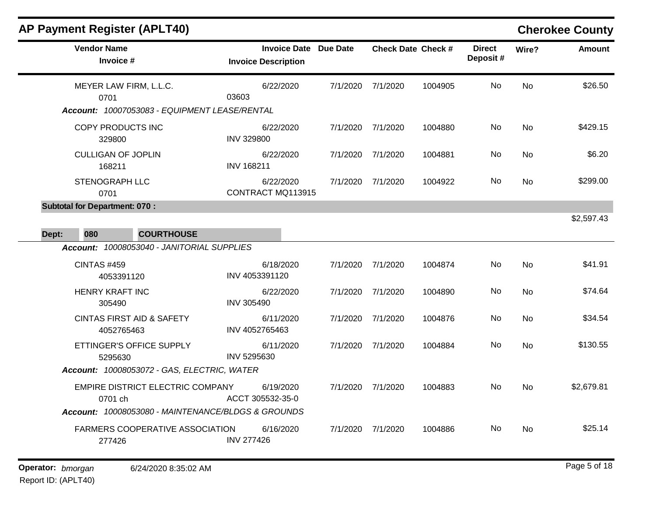$\blacksquare$ 

| <b>Vendor Name</b><br>Invoice #                                                 | <b>Invoice Date Due Date</b><br><b>Invoice Description</b> |          | <b>Check Date Check #</b> |         | <b>Direct</b><br>Deposit# | Wire?     | <b>Amount</b> |
|---------------------------------------------------------------------------------|------------------------------------------------------------|----------|---------------------------|---------|---------------------------|-----------|---------------|
| MEYER LAW FIRM, L.L.C.<br>0701<br>Account: 10007053083 - EQUIPMENT LEASE/RENTAL | 6/22/2020<br>03603                                         | 7/1/2020 | 7/1/2020                  | 1004905 | No.                       | <b>No</b> | \$26.50       |
| COPY PRODUCTS INC<br>329800                                                     | 6/22/2020<br><b>INV 329800</b>                             |          | 7/1/2020 7/1/2020         | 1004880 | No                        | <b>No</b> | \$429.15      |
| <b>CULLIGAN OF JOPLIN</b><br>168211                                             | 6/22/2020<br><b>INV 168211</b>                             | 7/1/2020 | 7/1/2020                  | 1004881 | No                        | No        | \$6.20        |
| STENOGRAPH LLC<br>0701                                                          | 6/22/2020<br>CONTRACT MQ113915                             |          | 7/1/2020 7/1/2020         | 1004922 | No.                       | No        | \$299.00      |
| <b>Subtotal for Department: 070:</b><br>080<br><b>COURTHOUSE</b><br>Dept:       |                                                            |          |                           |         |                           |           | \$2,597.43    |
| Account: 10008053040 - JANITORIAL SUPPLIES                                      |                                                            |          |                           |         |                           |           |               |
| <b>CINTAS #459</b><br>4053391120                                                | 6/18/2020<br>INV 4053391120                                | 7/1/2020 | 7/1/2020                  | 1004874 | No                        | <b>No</b> | \$41.91       |
| <b>HENRY KRAFT INC</b><br>305490                                                | 6/22/2020<br><b>INV 305490</b>                             | 7/1/2020 | 7/1/2020                  | 1004890 | No                        | <b>No</b> | \$74.64       |
| <b>CINTAS FIRST AID &amp; SAFETY</b><br>4052765463                              | 6/11/2020<br>INV 4052765463                                | 7/1/2020 | 7/1/2020                  | 1004876 | No                        | <b>No</b> | \$34.54       |
| ETTINGER'S OFFICE SUPPLY<br>5295630                                             | 6/11/2020<br>INV 5295630                                   | 7/1/2020 | 7/1/2020                  | 1004884 | No                        | <b>No</b> | \$130.55      |
| Account: 10008053072 - GAS, ELECTRIC, WATER                                     |                                                            |          |                           |         |                           |           |               |
| EMPIRE DISTRICT ELECTRIC COMPANY<br>0701 ch                                     | 6/19/2020<br>ACCT 305532-35-0                              | 7/1/2020 | 7/1/2020                  | 1004883 | No                        | <b>No</b> | \$2,679.81    |
| Account: 10008053080 - MAINTENANCE/BLDGS & GROUNDS                              |                                                            |          |                           |         |                           |           |               |
| <b>FARMERS COOPERATIVE ASSOCIATION</b><br>277426                                | 6/16/2020<br><b>INV 277426</b>                             |          | 7/1/2020 7/1/2020         | 1004886 | No.                       | <b>No</b> | \$25.14       |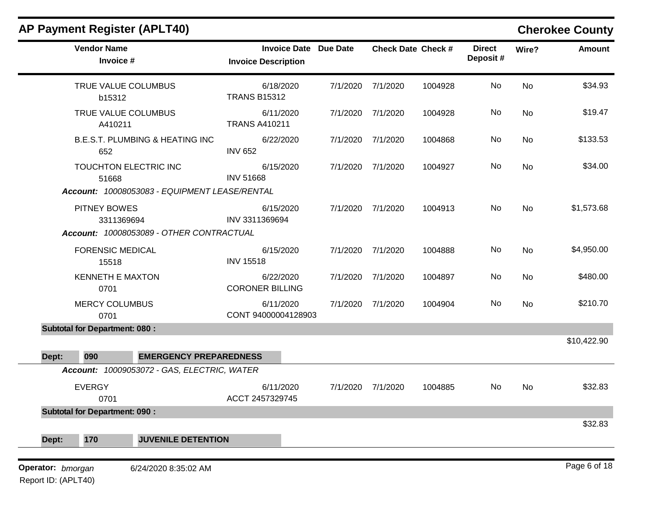|                   |                                      | <b>AP Payment Register (APLT40)</b>                                    |                                                            |          |                   |                           |                           |           | <b>Cherokee County</b> |
|-------------------|--------------------------------------|------------------------------------------------------------------------|------------------------------------------------------------|----------|-------------------|---------------------------|---------------------------|-----------|------------------------|
|                   | <b>Vendor Name</b><br>Invoice #      |                                                                        | <b>Invoice Date Due Date</b><br><b>Invoice Description</b> |          |                   | <b>Check Date Check #</b> | <b>Direct</b><br>Deposit# | Wire?     | <b>Amount</b>          |
|                   | b15312                               | TRUE VALUE COLUMBUS                                                    | 6/18/2020<br><b>TRANS B15312</b>                           | 7/1/2020 | 7/1/2020          | 1004928                   | No                        | No        | \$34.93                |
|                   | A410211                              | TRUE VALUE COLUMBUS                                                    | 6/11/2020<br><b>TRANS A410211</b>                          | 7/1/2020 | 7/1/2020          | 1004928                   | No                        | <b>No</b> | \$19.47                |
|                   | 652                                  | <b>B.E.S.T. PLUMBING &amp; HEATING INC</b>                             | 6/22/2020<br><b>INV 652</b>                                | 7/1/2020 | 7/1/2020          | 1004868                   | No                        | <b>No</b> | \$133.53               |
|                   | 51668                                | TOUCHTON ELECTRIC INC<br>Account: 10008053083 - EQUIPMENT LEASE/RENTAL | 6/15/2020<br><b>INV 51668</b>                              | 7/1/2020 | 7/1/2020          | 1004927                   | No                        | No        | \$34.00                |
|                   | PITNEY BOWES<br>3311369694           | Account: 10008053089 - OTHER CONTRACTUAL                               | 6/15/2020<br>INV 3311369694                                |          | 7/1/2020 7/1/2020 | 1004913                   | No                        | <b>No</b> | \$1,573.68             |
|                   | <b>FORENSIC MEDICAL</b><br>15518     |                                                                        | 6/15/2020<br><b>INV 15518</b>                              | 7/1/2020 | 7/1/2020          | 1004888                   | No                        | No        | \$4,950.00             |
|                   | <b>KENNETH E MAXTON</b><br>0701      |                                                                        | 6/22/2020<br><b>CORONER BILLING</b>                        |          | 7/1/2020 7/1/2020 | 1004897                   | No                        | No        | \$480.00               |
|                   | <b>MERCY COLUMBUS</b><br>0701        |                                                                        | 6/11/2020<br>CONT 94000004128903                           | 7/1/2020 | 7/1/2020          | 1004904                   | No                        | <b>No</b> | \$210.70               |
|                   | <b>Subtotal for Department: 080:</b> |                                                                        |                                                            |          |                   |                           |                           |           |                        |
| Dept:             | 090                                  | <b>EMERGENCY PREPAREDNESS</b>                                          |                                                            |          |                   |                           |                           |           | \$10,422.90            |
|                   |                                      | Account: 10009053072 - GAS, ELECTRIC, WATER                            |                                                            |          |                   |                           |                           |           |                        |
|                   | <b>EVERGY</b><br>0701                |                                                                        | 6/11/2020<br>ACCT 2457329745                               |          | 7/1/2020 7/1/2020 | 1004885                   | No                        | No        | \$32.83                |
|                   | <b>Subtotal for Department: 090:</b> |                                                                        |                                                            |          |                   |                           |                           |           |                        |
| Dept:             | 170                                  | <b>JUVENILE DETENTION</b>                                              |                                                            |          |                   |                           |                           |           | \$32.83                |
| Operator: bmorgan |                                      | 6/24/2020 8:35:02 AM                                                   |                                                            |          |                   |                           |                           |           | Page 6 of 18           |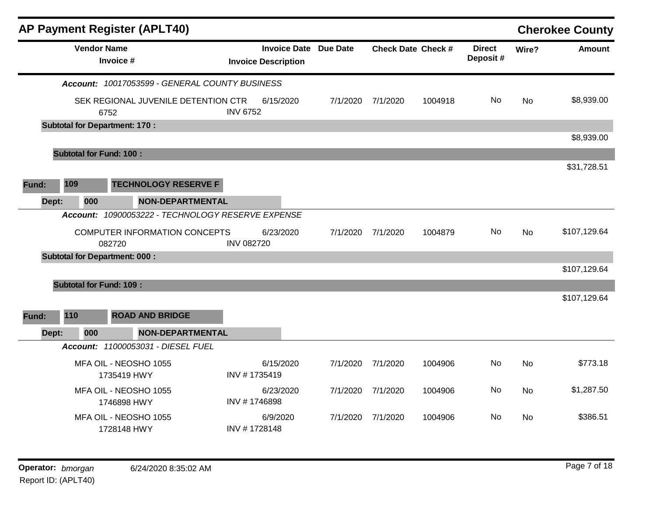|       |                                | <b>AP Payment Register (APLT40)</b>            |                   |                                                            |          |                           |         |                            |           | <b>Cherokee County</b> |
|-------|--------------------------------|------------------------------------------------|-------------------|------------------------------------------------------------|----------|---------------------------|---------|----------------------------|-----------|------------------------|
|       |                                | <b>Vendor Name</b><br>Invoice #                |                   | <b>Invoice Date Due Date</b><br><b>Invoice Description</b> |          | <b>Check Date Check #</b> |         | <b>Direct</b><br>Deposit # | Wire?     | <b>Amount</b>          |
|       |                                | Account: 10017053599 - GENERAL COUNTY BUSINESS |                   |                                                            |          |                           |         |                            |           |                        |
|       |                                | SEK REGIONAL JUVENILE DETENTION CTR<br>6752    | <b>INV 6752</b>   | 6/15/2020                                                  | 7/1/2020 | 7/1/2020                  | 1004918 | No.                        | No        | \$8,939.00             |
|       |                                | <b>Subtotal for Department: 170:</b>           |                   |                                                            |          |                           |         |                            |           |                        |
|       |                                |                                                |                   |                                                            |          |                           |         |                            |           | \$8,939.00             |
|       | <b>Subtotal for Fund: 100:</b> |                                                |                   |                                                            |          |                           |         |                            |           |                        |
|       |                                |                                                |                   |                                                            |          |                           |         |                            |           | \$31,728.51            |
| Fund: | 109                            | <b>TECHNOLOGY RESERVE F</b>                    |                   |                                                            |          |                           |         |                            |           |                        |
| Dept: | 000                            | <b>NON-DEPARTMENTAL</b>                        |                   |                                                            |          |                           |         |                            |           |                        |
|       | Account:                       | 10900053222 - TECHNOLOGY RESERVE EXPENSE       |                   |                                                            |          |                           |         |                            |           |                        |
|       |                                | COMPUTER INFORMATION CONCEPTS<br>082720        | <b>INV 082720</b> | 6/23/2020                                                  | 7/1/2020 | 7/1/2020                  | 1004879 | No                         | <b>No</b> | \$107,129.64           |
|       |                                | <b>Subtotal for Department: 000:</b>           |                   |                                                            |          |                           |         |                            |           |                        |
|       |                                |                                                |                   |                                                            |          |                           |         |                            |           | \$107,129.64           |
|       | <b>Subtotal for Fund: 109:</b> |                                                |                   |                                                            |          |                           |         |                            |           |                        |
|       |                                |                                                |                   |                                                            |          |                           |         |                            |           | \$107,129.64           |
| Fund: | 110                            | <b>ROAD AND BRIDGE</b>                         |                   |                                                            |          |                           |         |                            |           |                        |
| Dept: | 000                            | <b>NON-DEPARTMENTAL</b>                        |                   |                                                            |          |                           |         |                            |           |                        |
|       |                                | Account: 11000053031 - DIESEL FUEL             |                   |                                                            |          |                           |         |                            |           |                        |
|       |                                | MFA OIL - NEOSHO 1055<br>1735419 HWY           | INV #1735419      | 6/15/2020                                                  | 7/1/2020 | 7/1/2020                  | 1004906 | No                         | <b>No</b> | \$773.18               |
|       |                                | MFA OIL - NEOSHO 1055<br>1746898 HWY           | INV #1746898      | 6/23/2020                                                  | 7/1/2020 | 7/1/2020                  | 1004906 | No                         | No        | \$1,287.50             |
|       |                                | MFA OIL - NEOSHO 1055<br>1728148 HWY           | INV #1728148      | 6/9/2020                                                   | 7/1/2020 | 7/1/2020                  | 1004906 | No                         | <b>No</b> | \$386.51               |
|       |                                |                                                |                   |                                                            |          |                           |         |                            |           |                        |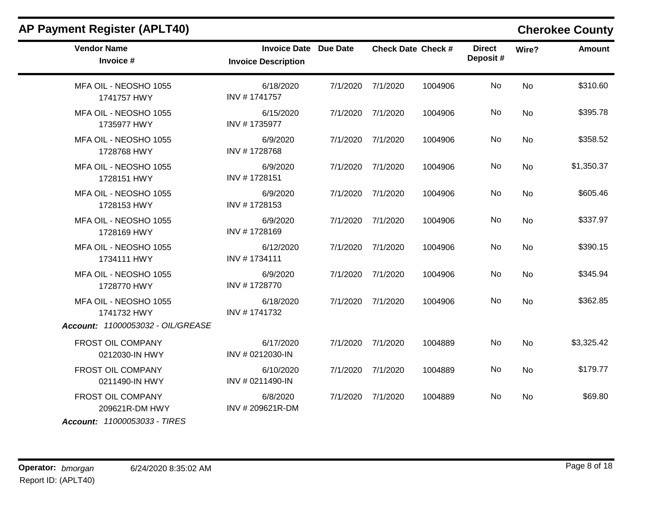| <b>AP Payment Register (APLT40)</b>                                 |                                                            |                           |         |                           |           | <b>Cherokee County</b> |
|---------------------------------------------------------------------|------------------------------------------------------------|---------------------------|---------|---------------------------|-----------|------------------------|
| <b>Vendor Name</b><br>Invoice #                                     | <b>Invoice Date Due Date</b><br><b>Invoice Description</b> | <b>Check Date Check #</b> |         | <b>Direct</b><br>Deposit# | Wire?     | <b>Amount</b>          |
| MFA OIL - NEOSHO 1055<br>1741757 HWY                                | 6/18/2020<br>INV #1741757                                  | 7/1/2020 7/1/2020         | 1004906 | No                        | <b>No</b> | \$310.60               |
| MFA OIL - NEOSHO 1055<br>1735977 HWY                                | 6/15/2020<br>INV #1735977                                  | 7/1/2020 7/1/2020         | 1004906 | <b>No</b>                 | <b>No</b> | \$395.78               |
| MFA OIL - NEOSHO 1055<br>1728768 HWY                                | 6/9/2020<br>INV #1728768                                   | 7/1/2020 7/1/2020         | 1004906 | No                        | No        | \$358.52               |
| MFA OIL - NEOSHO 1055<br>1728151 HWY                                | 6/9/2020<br>INV #1728151                                   | 7/1/2020 7/1/2020         | 1004906 | No                        | <b>No</b> | \$1,350.37             |
| MFA OIL - NEOSHO 1055<br>1728153 HWY                                | 6/9/2020<br>INV #1728153                                   | 7/1/2020 7/1/2020         | 1004906 | No                        | No        | \$605.46               |
| MFA OIL - NEOSHO 1055<br>1728169 HWY                                | 6/9/2020<br>INV #1728169                                   | 7/1/2020 7/1/2020         | 1004906 | No                        | <b>No</b> | \$337.97               |
| MFA OIL - NEOSHO 1055<br>1734111 HWY                                | 6/12/2020<br>INV #1734111                                  | 7/1/2020 7/1/2020         | 1004906 | No                        | No        | \$390.15               |
| MFA OIL - NEOSHO 1055<br>1728770 HWY                                | 6/9/2020<br>INV #1728770                                   | 7/1/2020 7/1/2020         | 1004906 | No                        | <b>No</b> | \$345.94               |
| MFA OIL - NEOSHO 1055<br>1741732 HWY                                | 6/18/2020<br>INV #1741732                                  | 7/1/2020 7/1/2020         | 1004906 | No                        | No        | \$362.85               |
| Account: 11000053032 - OIL/GREASE                                   |                                                            |                           |         |                           |           |                        |
| FROST OIL COMPANY<br>0212030-IN HWY                                 | 6/17/2020<br>INV # 0212030-IN                              | 7/1/2020 7/1/2020         | 1004889 | No                        | No        | \$3,325.42             |
| FROST OIL COMPANY<br>0211490-IN HWY                                 | 6/10/2020<br>INV # 0211490-IN                              | 7/1/2020 7/1/2020         | 1004889 | No                        | <b>No</b> | \$179.77               |
| FROST OIL COMPANY<br>209621R-DM HWY<br>Account: 11000053033 - TIRES | 6/8/2020<br>INV #209621R-DM                                | 7/1/2020 7/1/2020         | 1004889 | No                        | No        | \$69.80                |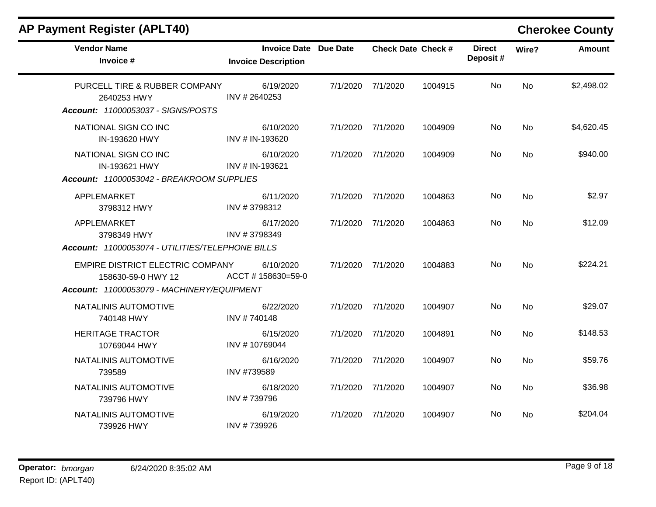| <b>Vendor Name</b><br>Invoice #                                                                      | <b>Invoice Date Due Date</b><br><b>Invoice Description</b> |          | <b>Check Date Check #</b> |         | <b>Direct</b><br>Deposit# | Wire?     | <b>Amount</b> |
|------------------------------------------------------------------------------------------------------|------------------------------------------------------------|----------|---------------------------|---------|---------------------------|-----------|---------------|
| PURCELL TIRE & RUBBER COMPANY<br>2640253 HWY<br>Account: 11000053037 - SIGNS/POSTS                   | 6/19/2020<br>INV #2640253                                  | 7/1/2020 | 7/1/2020                  | 1004915 | No                        | <b>No</b> | \$2,498.02    |
| NATIONAL SIGN CO INC<br>IN-193620 HWY                                                                | 6/10/2020<br>INV # IN-193620                               | 7/1/2020 | 7/1/2020                  | 1004909 | No                        | <b>No</b> | \$4,620.45    |
| NATIONAL SIGN CO INC<br>IN-193621 HWY                                                                | 6/10/2020<br>INV # IN-193621                               | 7/1/2020 | 7/1/2020                  | 1004909 | No.                       | <b>No</b> | \$940.00      |
| Account: 11000053042 - BREAKROOM SUPPLIES                                                            |                                                            |          |                           |         |                           |           |               |
| APPLEMARKET<br>3798312 HWY                                                                           | 6/11/2020<br>INV #3798312                                  | 7/1/2020 | 7/1/2020                  | 1004863 | No                        | <b>No</b> | \$2.97        |
| APPLEMARKET<br>3798349 HWY<br>Account: 11000053074 - UTILITIES/TELEPHONE BILLS                       | 6/17/2020<br>INV #3798349                                  | 7/1/2020 | 7/1/2020                  | 1004863 | No                        | <b>No</b> | \$12.09       |
| EMPIRE DISTRICT ELECTRIC COMPANY<br>158630-59-0 HWY 12<br>Account: 11000053079 - MACHINERY/EQUIPMENT | 6/10/2020<br>ACCT #158630=59-0                             | 7/1/2020 | 7/1/2020                  | 1004883 | No                        | <b>No</b> | \$224.21      |
| NATALINIS AUTOMOTIVE<br>740148 HWY                                                                   | 6/22/2020<br>INV #740148                                   | 7/1/2020 | 7/1/2020                  | 1004907 | No                        | <b>No</b> | \$29.07       |
| <b>HERITAGE TRACTOR</b><br>10769044 HWY                                                              | 6/15/2020<br>INV #10769044                                 | 7/1/2020 | 7/1/2020                  | 1004891 | No                        | <b>No</b> | \$148.53      |
| NATALINIS AUTOMOTIVE<br>739589                                                                       | 6/16/2020<br>INV #739589                                   | 7/1/2020 | 7/1/2020                  | 1004907 | No.                       | No        | \$59.76       |
| NATALINIS AUTOMOTIVE<br>739796 HWY                                                                   | 6/18/2020<br>INV #739796                                   | 7/1/2020 | 7/1/2020                  | 1004907 | No.                       | <b>No</b> | \$36.98       |
| NATALINIS AUTOMOTIVE<br>739926 HWY                                                                   | 6/19/2020<br>INV #739926                                   | 7/1/2020 | 7/1/2020                  | 1004907 | No.                       | No        | \$204.04      |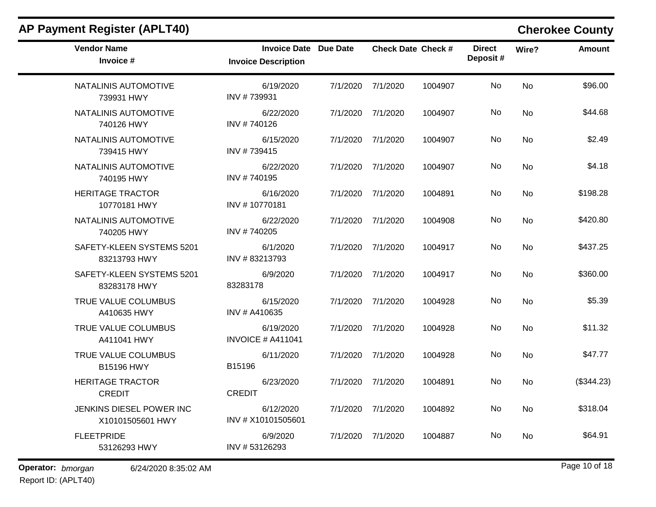| AP Payment Register (APLT40)                 |                                                            |          |                           |         |                           |           | <b>Cherokee County</b> |
|----------------------------------------------|------------------------------------------------------------|----------|---------------------------|---------|---------------------------|-----------|------------------------|
| <b>Vendor Name</b><br>Invoice #              | <b>Invoice Date Due Date</b><br><b>Invoice Description</b> |          | <b>Check Date Check #</b> |         | <b>Direct</b><br>Deposit# | Wire?     | <b>Amount</b>          |
| NATALINIS AUTOMOTIVE<br>739931 HWY           | 6/19/2020<br>INV #739931                                   | 7/1/2020 | 7/1/2020                  | 1004907 | No                        | No        | \$96.00                |
| NATALINIS AUTOMOTIVE<br>740126 HWY           | 6/22/2020<br>INV #740126                                   | 7/1/2020 | 7/1/2020                  | 1004907 | No                        | No        | \$44.68                |
| NATALINIS AUTOMOTIVE<br>739415 HWY           | 6/15/2020<br>INV #739415                                   | 7/1/2020 | 7/1/2020                  | 1004907 | No                        | No        | \$2.49                 |
| NATALINIS AUTOMOTIVE<br>740195 HWY           | 6/22/2020<br>INV #740195                                   | 7/1/2020 | 7/1/2020                  | 1004907 | No                        | <b>No</b> | \$4.18                 |
| <b>HERITAGE TRACTOR</b><br>10770181 HWY      | 6/16/2020<br>INV #10770181                                 | 7/1/2020 | 7/1/2020                  | 1004891 | No                        | No        | \$198.28               |
| NATALINIS AUTOMOTIVE<br>740205 HWY           | 6/22/2020<br>INV #740205                                   | 7/1/2020 | 7/1/2020                  | 1004908 | No                        | No        | \$420.80               |
| SAFETY-KLEEN SYSTEMS 5201<br>83213793 HWY    | 6/1/2020<br>INV #83213793                                  |          | 7/1/2020 7/1/2020         | 1004917 | No                        | No        | \$437.25               |
| SAFETY-KLEEN SYSTEMS 5201<br>83283178 HWY    | 6/9/2020<br>83283178                                       |          | 7/1/2020 7/1/2020         | 1004917 | No                        | No        | \$360.00               |
| TRUE VALUE COLUMBUS<br>A410635 HWY           | 6/15/2020<br>INV # A410635                                 | 7/1/2020 | 7/1/2020                  | 1004928 | No                        | <b>No</b> | \$5.39                 |
| TRUE VALUE COLUMBUS<br>A411041 HWY           | 6/19/2020<br><b>INVOICE # A411041</b>                      | 7/1/2020 | 7/1/2020                  | 1004928 | No                        | No        | \$11.32                |
| TRUE VALUE COLUMBUS<br>B15196 HWY            | 6/11/2020<br>B15196                                        | 7/1/2020 | 7/1/2020                  | 1004928 | No                        | No        | \$47.77                |
| <b>HERITAGE TRACTOR</b><br><b>CREDIT</b>     | 6/23/2020<br><b>CREDIT</b>                                 | 7/1/2020 | 7/1/2020                  | 1004891 | No                        | No        | (\$344.23)             |
| JENKINS DIESEL POWER INC<br>X10101505601 HWY | 6/12/2020<br>INV # X10101505601                            |          | 7/1/2020 7/1/2020         | 1004892 | No                        | <b>No</b> | \$318.04               |
| <b>FLEETPRIDE</b><br>53126293 HWY            | 6/9/2020<br>INV #53126293                                  | 7/1/2020 | 7/1/2020                  | 1004887 | No                        | No        | \$64.91                |
| Operator: bmorgan<br>6/24/2020 8:35:02 AM    |                                                            |          |                           |         |                           |           | Page 10 of 18          |

Report ID: (APLT40)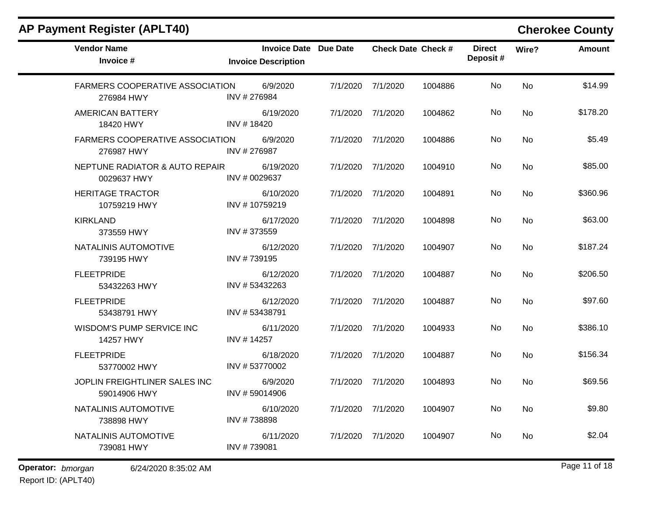| <b>Vendor Name</b><br>Invoice #                      | <b>Invoice Date Due Date</b><br><b>Invoice Description</b> |                   | <b>Check Date Check #</b> |         | <b>Direct</b><br>Deposit# | Wire?     | <b>Amount</b> |
|------------------------------------------------------|------------------------------------------------------------|-------------------|---------------------------|---------|---------------------------|-----------|---------------|
| <b>FARMERS COOPERATIVE ASSOCIATION</b><br>276984 HWY | 6/9/2020<br>INV #276984                                    | 7/1/2020          | 7/1/2020                  | 1004886 | No                        | <b>No</b> | \$14.99       |
| <b>AMERICAN BATTERY</b><br>18420 HWY                 | 6/19/2020<br>INV #18420                                    | 7/1/2020          | 7/1/2020                  | 1004862 | <b>No</b>                 | <b>No</b> | \$178.20      |
| <b>FARMERS COOPERATIVE ASSOCIATION</b><br>276987 HWY | 6/9/2020<br>INV #276987                                    | 7/1/2020          | 7/1/2020                  | 1004886 | No.                       | No        | \$5.49        |
| NEPTUNE RADIATOR & AUTO REPAIR<br>0029637 HWY        | 6/19/2020<br>INV # 0029637                                 | 7/1/2020          | 7/1/2020                  | 1004910 | No                        | No        | \$85.00       |
| <b>HERITAGE TRACTOR</b><br>10759219 HWY              | 6/10/2020<br>INV #10759219                                 | 7/1/2020 7/1/2020 |                           | 1004891 | No                        | <b>No</b> | \$360.96      |
| <b>KIRKLAND</b><br>373559 HWY                        | 6/17/2020<br>INV #373559                                   | 7/1/2020          | 7/1/2020                  | 1004898 | No                        | No        | \$63.00       |
| NATALINIS AUTOMOTIVE<br>739195 HWY                   | 6/12/2020<br>INV #739195                                   | 7/1/2020 7/1/2020 |                           | 1004907 | No                        | <b>No</b> | \$187.24      |
| <b>FLEETPRIDE</b><br>53432263 HWY                    | 6/12/2020<br>INV #53432263                                 | 7/1/2020          | 7/1/2020                  | 1004887 | No.                       | No        | \$206.50      |
| <b>FLEETPRIDE</b><br>53438791 HWY                    | 6/12/2020<br>INV #53438791                                 | 7/1/2020 7/1/2020 |                           | 1004887 | No                        | <b>No</b> | \$97.60       |
| WISDOM'S PUMP SERVICE INC<br>14257 HWY               | 6/11/2020<br>INV #14257                                    | 7/1/2020          | 7/1/2020                  | 1004933 | No.                       | No        | \$386.10      |
| <b>FLEETPRIDE</b><br>53770002 HWY                    | 6/18/2020<br>INV #53770002                                 | 7/1/2020          | 7/1/2020                  | 1004887 | <b>No</b>                 | <b>No</b> | \$156.34      |
| JOPLIN FREIGHTLINER SALES INC<br>59014906 HWY        | 6/9/2020<br>INV #59014906                                  | 7/1/2020          | 7/1/2020                  | 1004893 | No.                       | No        | \$69.56       |
| NATALINIS AUTOMOTIVE<br>738898 HWY                   | 6/10/2020<br>INV #738898                                   | 7/1/2020          | 7/1/2020                  | 1004907 | <b>No</b>                 | No        | \$9.80        |
| NATALINIS AUTOMOTIVE<br>739081 HWY                   | 6/11/2020<br>INV #739081                                   | 7/1/2020          | 7/1/2020                  | 1004907 | No.                       | No        | \$2.04        |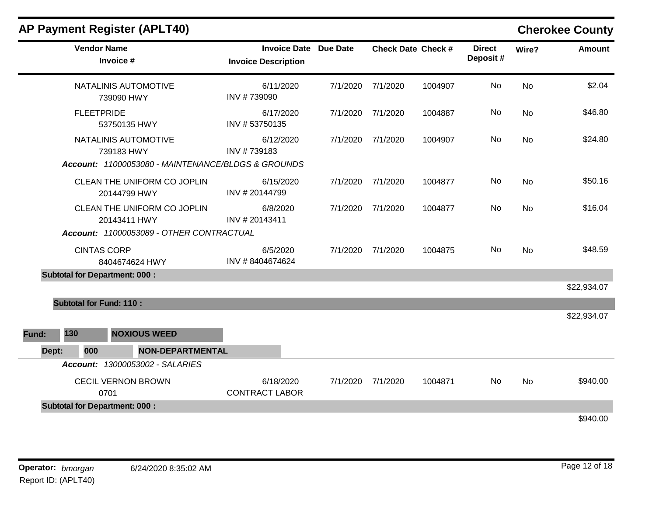|       |                                | AP Payment Register (APLT40)                       |                                                            |          |          |                           |                           |           | <b>Cherokee County</b> |
|-------|--------------------------------|----------------------------------------------------|------------------------------------------------------------|----------|----------|---------------------------|---------------------------|-----------|------------------------|
|       | <b>Vendor Name</b>             | Invoice #                                          | <b>Invoice Date Due Date</b><br><b>Invoice Description</b> |          |          | <b>Check Date Check #</b> | <b>Direct</b><br>Deposit# | Wire?     | <b>Amount</b>          |
|       |                                | NATALINIS AUTOMOTIVE<br>739090 HWY                 | 6/11/2020<br>INV #739090                                   | 7/1/2020 | 7/1/2020 | 1004907                   | No                        | <b>No</b> | \$2.04                 |
|       | <b>FLEETPRIDE</b>              | 53750135 HWY                                       | 6/17/2020<br>INV #53750135                                 | 7/1/2020 | 7/1/2020 | 1004887                   | No                        | <b>No</b> | \$46.80                |
|       |                                | NATALINIS AUTOMOTIVE<br>739183 HWY                 | 6/12/2020<br>INV #739183                                   | 7/1/2020 | 7/1/2020 | 1004907                   | No                        | <b>No</b> | \$24.80                |
|       |                                | Account: 11000053080 - MAINTENANCE/BLDGS & GROUNDS |                                                            |          |          |                           |                           |           |                        |
|       |                                | CLEAN THE UNIFORM CO JOPLIN<br>20144799 HWY        | 6/15/2020<br>INV #20144799                                 | 7/1/2020 | 7/1/2020 | 1004877                   | No                        | <b>No</b> | \$50.16                |
|       |                                | CLEAN THE UNIFORM CO JOPLIN<br>20143411 HWY        | 6/8/2020<br>INV #20143411                                  | 7/1/2020 | 7/1/2020 | 1004877                   | No                        | <b>No</b> | \$16.04                |
|       |                                | Account: 11000053089 - OTHER CONTRACTUAL           |                                                            |          |          |                           |                           |           |                        |
|       | <b>CINTAS CORP</b>             | 8404674624 HWY                                     | 6/5/2020<br>INV #8404674624                                | 7/1/2020 | 7/1/2020 | 1004875                   | No                        | <b>No</b> | \$48.59                |
|       |                                | <b>Subtotal for Department: 000:</b>               |                                                            |          |          |                           |                           |           |                        |
|       |                                |                                                    |                                                            |          |          |                           |                           |           | \$22,934.07            |
|       | <b>Subtotal for Fund: 110:</b> |                                                    |                                                            |          |          |                           |                           |           |                        |
| Fund: | 130                            | <b>NOXIOUS WEED</b>                                |                                                            |          |          |                           |                           |           | \$22,934.07            |
| Dept: | 000                            | <b>NON-DEPARTMENTAL</b>                            |                                                            |          |          |                           |                           |           |                        |
|       |                                | Account: 13000053002 - SALARIES                    |                                                            |          |          |                           |                           |           |                        |
|       |                                | <b>CECIL VERNON BROWN</b><br>0701                  | 6/18/2020<br><b>CONTRACT LABOR</b>                         | 7/1/2020 | 7/1/2020 | 1004871                   | No                        | <b>No</b> | \$940.00               |
|       |                                | <b>Subtotal for Department: 000:</b>               |                                                            |          |          |                           |                           |           |                        |
|       |                                |                                                    |                                                            |          |          |                           |                           |           | \$940.00               |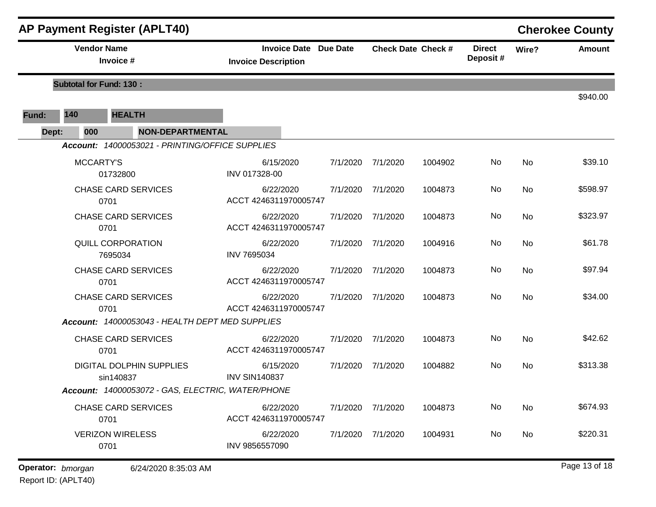|                                 |                                | <b>AP Payment Register (APLT40)</b>                                                     |                                    |          |                   |                           |       |               | <b>Cherokee County</b> |
|---------------------------------|--------------------------------|-----------------------------------------------------------------------------------------|------------------------------------|----------|-------------------|---------------------------|-------|---------------|------------------------|
| <b>Vendor Name</b><br>Invoice # |                                | <b>Invoice Date Due Date</b><br><b>Check Date Check #</b><br><b>Invoice Description</b> |                                    |          |                   | <b>Direct</b><br>Deposit# | Wire? | <b>Amount</b> |                        |
|                                 | <b>Subtotal for Fund: 130:</b> |                                                                                         |                                    |          |                   |                           |       |               | \$940.00               |
| Fund:                           | 140                            | <b>HEALTH</b>                                                                           |                                    |          |                   |                           |       |               |                        |
| Dept:                           | 000                            | <b>NON-DEPARTMENTAL</b>                                                                 |                                    |          |                   |                           |       |               |                        |
|                                 |                                | Account: 14000053021 - PRINTING/OFFICE SUPPLIES                                         |                                    |          |                   |                           |       |               |                        |
|                                 | <b>MCCARTY'S</b>               | 01732800                                                                                | 6/15/2020<br>INV 017328-00         | 7/1/2020 | 7/1/2020          | 1004902                   | No    | <b>No</b>     | \$39.10                |
|                                 |                                | <b>CHASE CARD SERVICES</b><br>0701                                                      | 6/22/2020<br>ACCT 4246311970005747 | 7/1/2020 | 7/1/2020          | 1004873                   | No    | No            | \$598.97               |
|                                 |                                | <b>CHASE CARD SERVICES</b><br>0701                                                      | 6/22/2020<br>ACCT 4246311970005747 | 7/1/2020 | 7/1/2020          | 1004873                   | No    | <b>No</b>     | \$323.97               |
|                                 |                                | QUILL CORPORATION<br>7695034                                                            | 6/22/2020<br><b>INV 7695034</b>    | 7/1/2020 | 7/1/2020          | 1004916                   | No    | <b>No</b>     | \$61.78                |
|                                 |                                | <b>CHASE CARD SERVICES</b><br>0701                                                      | 6/22/2020<br>ACCT 4246311970005747 | 7/1/2020 | 7/1/2020          | 1004873                   | No    | <b>No</b>     | \$97.94                |
|                                 |                                | <b>CHASE CARD SERVICES</b><br>0701                                                      | 6/22/2020<br>ACCT 4246311970005747 | 7/1/2020 | 7/1/2020          | 1004873                   | No    | No            | \$34.00                |
|                                 |                                | Account: 14000053043 - HEALTH DEPT MED SUPPLIES                                         |                                    |          |                   |                           |       |               |                        |
|                                 |                                | <b>CHASE CARD SERVICES</b><br>0701                                                      | 6/22/2020<br>ACCT 4246311970005747 | 7/1/2020 | 7/1/2020          | 1004873                   | No    | No            | \$42.62                |
|                                 |                                | DIGITAL DOLPHIN SUPPLIES<br>sin140837                                                   | 6/15/2020<br><b>INV SIN140837</b>  | 7/1/2020 | 7/1/2020          | 1004882                   | No    | No            | \$313.38               |
|                                 |                                | Account: 14000053072 - GAS, ELECTRIC, WATER/PHONE                                       |                                    |          |                   |                           |       |               |                        |
|                                 |                                | <b>CHASE CARD SERVICES</b><br>0701                                                      | 6/22/2020<br>ACCT 4246311970005747 |          | 7/1/2020 7/1/2020 | 1004873                   | No    | No            | \$674.93               |
|                                 |                                | <b>VERIZON WIRELESS</b><br>0701                                                         | 6/22/2020<br>INV 9856557090        |          | 7/1/2020 7/1/2020 | 1004931                   | No    | No            | \$220.31               |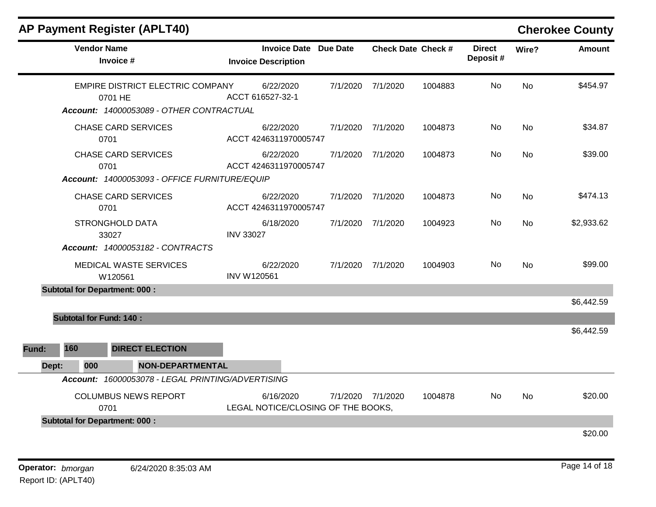|       |     | <b>AP Payment Register (APLT40)</b>               |                                                            |          |                   |                           |                           |           | <b>Cherokee County</b> |
|-------|-----|---------------------------------------------------|------------------------------------------------------------|----------|-------------------|---------------------------|---------------------------|-----------|------------------------|
|       |     | <b>Vendor Name</b><br>Invoice #                   | <b>Invoice Date Due Date</b><br><b>Invoice Description</b> |          |                   | <b>Check Date Check #</b> | <b>Direct</b><br>Deposit# | Wire?     | Amount                 |
|       |     | EMPIRE DISTRICT ELECTRIC COMPANY<br>0701 HE       | 6/22/2020<br>ACCT 616527-32-1                              | 7/1/2020 | 7/1/2020          | 1004883                   | No                        | <b>No</b> | \$454.97               |
|       |     | Account: 14000053089 - OTHER CONTRACTUAL          |                                                            |          |                   |                           |                           |           |                        |
|       |     | <b>CHASE CARD SERVICES</b><br>0701                | 6/22/2020<br>ACCT 4246311970005747                         | 7/1/2020 | 7/1/2020          | 1004873                   | No.                       | <b>No</b> | \$34.87                |
|       |     | <b>CHASE CARD SERVICES</b><br>0701                | 6/22/2020<br>ACCT 4246311970005747                         | 7/1/2020 | 7/1/2020          | 1004873                   | No.                       | No        | \$39.00                |
|       |     | Account: 14000053093 - OFFICE FURNITURE/EQUIP     |                                                            |          |                   |                           |                           |           |                        |
|       |     | <b>CHASE CARD SERVICES</b><br>0701                | 6/22/2020<br>ACCT 4246311970005747                         |          | 7/1/2020 7/1/2020 | 1004873                   | No.                       | <b>No</b> | \$474.13               |
|       |     | <b>STRONGHOLD DATA</b><br>33027                   | 6/18/2020<br><b>INV 33027</b>                              | 7/1/2020 | 7/1/2020          | 1004923                   | No.                       | <b>No</b> | \$2,933.62             |
|       |     | <b>Account: 14000053182 - CONTRACTS</b>           |                                                            |          |                   |                           |                           |           |                        |
|       |     | MEDICAL WASTE SERVICES<br>W120561                 | 6/22/2020<br><b>INV W120561</b>                            | 7/1/2020 | 7/1/2020          | 1004903                   | No                        | <b>No</b> | \$99.00                |
|       |     | <b>Subtotal for Department: 000:</b>              |                                                            |          |                   |                           |                           |           |                        |
|       |     |                                                   |                                                            |          |                   |                           |                           |           | \$6,442.59             |
|       |     | <b>Subtotal for Fund: 140:</b>                    |                                                            |          |                   |                           |                           |           |                        |
|       |     |                                                   |                                                            |          |                   |                           |                           |           | \$6,442.59             |
| Fund: | 160 | <b>DIRECT ELECTION</b>                            |                                                            |          |                   |                           |                           |           |                        |
| Dept: | 000 | <b>NON-DEPARTMENTAL</b>                           |                                                            |          |                   |                           |                           |           |                        |
|       |     | Account: 16000053078 - LEGAL PRINTING/ADVERTISING |                                                            |          |                   |                           |                           |           |                        |
|       |     | <b>COLUMBUS NEWS REPORT</b><br>0701               | 6/16/2020<br>LEGAL NOTICE/CLOSING OF THE BOOKS,            |          | 7/1/2020 7/1/2020 | 1004878                   | No.                       | <b>No</b> | \$20.00                |
|       |     | <b>Subtotal for Department: 000:</b>              |                                                            |          |                   |                           |                           |           |                        |
|       |     |                                                   |                                                            |          |                   |                           |                           |           | \$20.00                |
|       |     |                                                   |                                                            |          |                   |                           |                           |           |                        |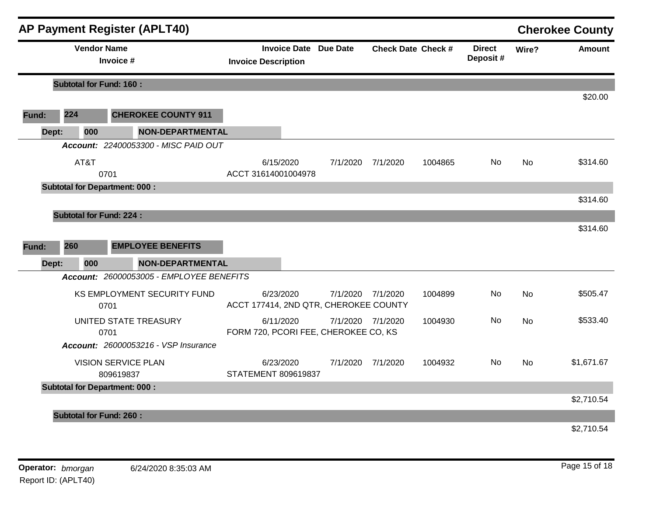|       |                                 | <b>AP Payment Register (APLT40)</b>         |                                                                                                                                                                                                                                                                                                                                                                                                                                                                                                                       |          |  |                           |       |               | <b>Cherokee County</b> |
|-------|---------------------------------|---------------------------------------------|-----------------------------------------------------------------------------------------------------------------------------------------------------------------------------------------------------------------------------------------------------------------------------------------------------------------------------------------------------------------------------------------------------------------------------------------------------------------------------------------------------------------------|----------|--|---------------------------|-------|---------------|------------------------|
|       | <b>Vendor Name</b><br>Invoice # |                                             | <b>Invoice Date Due Date</b><br><b>Invoice Description</b>                                                                                                                                                                                                                                                                                                                                                                                                                                                            |          |  | <b>Direct</b><br>Deposit# | Wire? | <b>Amount</b> |                        |
|       | <b>Subtotal for Fund: 160:</b>  |                                             |                                                                                                                                                                                                                                                                                                                                                                                                                                                                                                                       |          |  |                           |       |               |                        |
|       |                                 |                                             |                                                                                                                                                                                                                                                                                                                                                                                                                                                                                                                       |          |  |                           |       |               | \$20.00                |
| Fund: | 224                             | <b>CHEROKEE COUNTY 911</b>                  |                                                                                                                                                                                                                                                                                                                                                                                                                                                                                                                       |          |  |                           |       |               |                        |
| Dept: | 000                             |                                             |                                                                                                                                                                                                                                                                                                                                                                                                                                                                                                                       |          |  |                           |       |               |                        |
|       |                                 | Account: 22400053300 - MISC PAID OUT        |                                                                                                                                                                                                                                                                                                                                                                                                                                                                                                                       |          |  |                           |       |               |                        |
|       | AT&T                            | 0701                                        | <b>Check Date Check #</b><br><b>NON-DEPARTMENTAL</b><br>6/15/2020<br>No.<br>7/1/2020<br>7/1/2020<br>1004865<br><b>No</b><br>ACCT 31614001004978<br><b>NON-DEPARTMENTAL</b><br>Account: 26000053005 - EMPLOYEE BENEFITS<br>6/23/2020<br>7/1/2020<br>No<br><b>No</b><br>7/1/2020<br>1004899<br>ACCT 177414, 2ND QTR, CHEROKEE COUNTY<br>6/11/2020<br>7/1/2020 7/1/2020<br>No.<br>1004930<br>No<br>FORM 720, PCORI FEE, CHEROKEE CO, KS<br>6/23/2020<br>7/1/2020 7/1/2020<br>1004932<br>No.<br>No<br>STATEMENT 809619837 | \$314.60 |  |                           |       |               |                        |
|       |                                 | <b>Subtotal for Department: 000:</b>        |                                                                                                                                                                                                                                                                                                                                                                                                                                                                                                                       |          |  |                           |       |               | \$314.60               |
|       | <b>Subtotal for Fund: 224:</b>  |                                             |                                                                                                                                                                                                                                                                                                                                                                                                                                                                                                                       |          |  |                           |       |               |                        |
|       |                                 |                                             |                                                                                                                                                                                                                                                                                                                                                                                                                                                                                                                       |          |  |                           |       |               | \$314.60               |
| Fund: | 260                             | <b>EMPLOYEE BENEFITS</b>                    |                                                                                                                                                                                                                                                                                                                                                                                                                                                                                                                       |          |  |                           |       |               |                        |
| Dept: | 000                             |                                             |                                                                                                                                                                                                                                                                                                                                                                                                                                                                                                                       |          |  |                           |       |               |                        |
|       |                                 |                                             |                                                                                                                                                                                                                                                                                                                                                                                                                                                                                                                       |          |  |                           |       |               |                        |
|       |                                 | KS EMPLOYMENT SECURITY FUND<br>0701         |                                                                                                                                                                                                                                                                                                                                                                                                                                                                                                                       |          |  |                           |       |               | \$505.47               |
|       |                                 | UNITED STATE TREASURY<br>0701               |                                                                                                                                                                                                                                                                                                                                                                                                                                                                                                                       |          |  |                           |       |               | \$533.40               |
|       |                                 | <b>Account: 26000053216 - VSP Insurance</b> |                                                                                                                                                                                                                                                                                                                                                                                                                                                                                                                       |          |  |                           |       |               |                        |
|       |                                 | <b>VISION SERVICE PLAN</b><br>809619837     |                                                                                                                                                                                                                                                                                                                                                                                                                                                                                                                       |          |  |                           |       |               | \$1,671.67             |
|       |                                 | <b>Subtotal for Department: 000:</b>        |                                                                                                                                                                                                                                                                                                                                                                                                                                                                                                                       |          |  |                           |       |               |                        |
|       |                                 |                                             |                                                                                                                                                                                                                                                                                                                                                                                                                                                                                                                       |          |  |                           |       |               | \$2,710.54             |
|       | <b>Subtotal for Fund: 260:</b>  |                                             |                                                                                                                                                                                                                                                                                                                                                                                                                                                                                                                       |          |  |                           |       |               |                        |
|       |                                 |                                             |                                                                                                                                                                                                                                                                                                                                                                                                                                                                                                                       |          |  |                           |       |               | \$2,710.54             |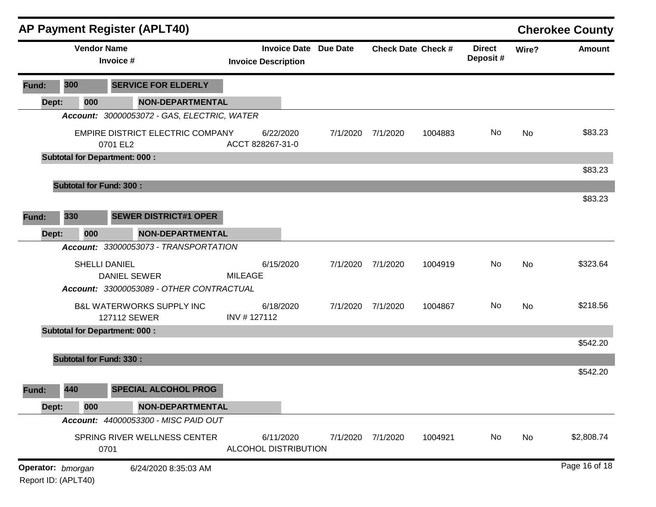|                     |                                 |     | <b>AP Payment Register (APLT40)</b>                  |                |                                                            |          |          |                           |                           |           | <b>Cherokee County</b> |
|---------------------|---------------------------------|-----|------------------------------------------------------|----------------|------------------------------------------------------------|----------|----------|---------------------------|---------------------------|-----------|------------------------|
|                     | <b>Vendor Name</b><br>Invoice # |     |                                                      |                | <b>Invoice Date Due Date</b><br><b>Invoice Description</b> |          |          | <b>Check Date Check #</b> | <b>Direct</b><br>Deposit# | Wire?     | <b>Amount</b>          |
| Fund:               | 300                             |     | <b>SERVICE FOR ELDERLY</b>                           |                |                                                            |          |          |                           |                           |           |                        |
| Dept:               |                                 | 000 | <b>NON-DEPARTMENTAL</b>                              |                |                                                            |          |          |                           |                           |           |                        |
|                     |                                 |     | Account: 30000053072 - GAS, ELECTRIC, WATER          |                |                                                            |          |          |                           |                           |           |                        |
|                     |                                 |     | EMPIRE DISTRICT ELECTRIC COMPANY<br>0701 EL2         |                | 6/22/2020<br>ACCT 828267-31-0                              | 7/1/2020 | 7/1/2020 | 1004883                   | No                        | No        | \$83.23                |
|                     |                                 |     | <b>Subtotal for Department: 000:</b>                 |                |                                                            |          |          |                           |                           |           |                        |
|                     |                                 |     |                                                      |                |                                                            |          |          |                           |                           |           | \$83.23                |
|                     |                                 |     | <b>Subtotal for Fund: 300:</b>                       |                |                                                            |          |          |                           |                           |           |                        |
|                     |                                 |     |                                                      |                |                                                            |          |          |                           |                           |           | \$83.23                |
| Fund:               | 330                             |     | <b>SEWER DISTRICT#1 OPER</b>                         |                |                                                            |          |          |                           |                           |           |                        |
| Dept:               |                                 | 000 | <b>NON-DEPARTMENTAL</b>                              |                |                                                            |          |          |                           |                           |           |                        |
|                     |                                 |     | Account: 33000053073 - TRANSPORTATION                |                |                                                            |          |          |                           |                           |           |                        |
|                     |                                 |     | <b>SHELLI DANIEL</b><br><b>DANIEL SEWER</b>          | <b>MILEAGE</b> | 6/15/2020                                                  | 7/1/2020 | 7/1/2020 | 1004919                   | No                        | <b>No</b> | \$323.64               |
|                     |                                 |     | Account: 33000053089 - OTHER CONTRACTUAL             |                |                                                            |          |          |                           |                           |           |                        |
|                     |                                 |     | <b>B&amp;L WATERWORKS SUPPLY INC</b><br>127112 SEWER | INV #127112    | 6/18/2020                                                  | 7/1/2020 | 7/1/2020 | 1004867                   | No                        | No        | \$218.56               |
|                     |                                 |     | <b>Subtotal for Department: 000:</b>                 |                |                                                            |          |          |                           |                           |           |                        |
|                     |                                 |     |                                                      |                |                                                            |          |          |                           |                           |           | \$542.20               |
|                     |                                 |     | <b>Subtotal for Fund: 330:</b>                       |                |                                                            |          |          |                           |                           |           |                        |
|                     |                                 |     |                                                      |                |                                                            |          |          |                           |                           |           | \$542.20               |
| Fund:               | 440                             |     | <b>SPECIAL ALCOHOL PROG</b>                          |                |                                                            |          |          |                           |                           |           |                        |
| Dept:               |                                 | 000 | <b>NON-DEPARTMENTAL</b>                              |                |                                                            |          |          |                           |                           |           |                        |
|                     |                                 |     | Account: 44000053300 - MISC PAID OUT                 |                |                                                            |          |          |                           |                           |           |                        |
|                     |                                 |     | SPRING RIVER WELLNESS CENTER<br>0701                 |                | 6/11/2020<br>ALCOHOL DISTRIBUTION                          | 7/1/2020 | 7/1/2020 | 1004921                   | No                        | No        | \$2,808.74             |
| Operator: bmorgan   |                                 |     | 6/24/2020 8:35:03 AM                                 |                |                                                            |          |          |                           |                           |           | Page 16 of 18          |
| Report ID: (APLT40) |                                 |     |                                                      |                |                                                            |          |          |                           |                           |           |                        |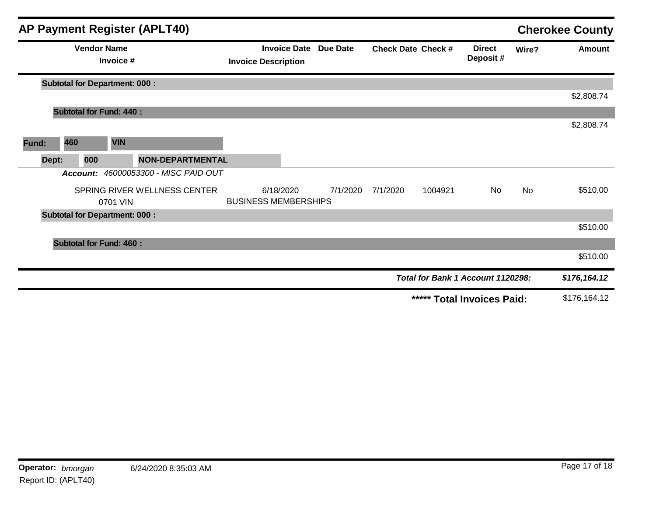|       |       |                    |                                      | <b>AP Payment Register (APLT40)</b> |                                          |                              |                           |         |                                   |           | <b>Cherokee County</b> |
|-------|-------|--------------------|--------------------------------------|-------------------------------------|------------------------------------------|------------------------------|---------------------------|---------|-----------------------------------|-----------|------------------------|
|       |       | <b>Vendor Name</b> | Invoice #                            |                                     | <b>Invoice Description</b>               | <b>Invoice Date Due Date</b> | <b>Check Date Check #</b> |         | <b>Direct</b><br>Deposit#         | Wire?     | Amount                 |
|       |       |                    | <b>Subtotal for Department: 000:</b> |                                     |                                          |                              |                           |         |                                   |           |                        |
|       |       |                    |                                      |                                     |                                          |                              |                           |         |                                   |           | \$2,808.74             |
|       |       |                    | <b>Subtotal for Fund: 440:</b>       |                                     |                                          |                              |                           |         |                                   |           |                        |
|       |       |                    |                                      |                                     |                                          |                              |                           |         |                                   |           | \$2,808.74             |
| Fund: |       | 460                | <b>VIN</b>                           |                                     |                                          |                              |                           |         |                                   |           |                        |
|       | Dept: | 000                |                                      | <b>NON-DEPARTMENTAL</b>             |                                          |                              |                           |         |                                   |           |                        |
|       |       | Account:           |                                      | 46000053300 - MISC PAID OUT         |                                          |                              |                           |         |                                   |           |                        |
|       |       |                    | 0701 VIN                             | SPRING RIVER WELLNESS CENTER        | 6/18/2020<br><b>BUSINESS MEMBERSHIPS</b> | 7/1/2020                     | 7/1/2020                  | 1004921 | No.                               | <b>No</b> | \$510.00               |
|       |       |                    | <b>Subtotal for Department: 000:</b> |                                     |                                          |                              |                           |         |                                   |           |                        |
|       |       |                    |                                      |                                     |                                          |                              |                           |         |                                   |           | \$510.00               |
|       |       |                    | <b>Subtotal for Fund: 460:</b>       |                                     |                                          |                              |                           |         |                                   |           |                        |
|       |       |                    |                                      |                                     |                                          |                              |                           |         |                                   |           | \$510.00               |
|       |       |                    |                                      |                                     |                                          |                              |                           |         | Total for Bank 1 Account 1120298: |           | \$176, 164.12          |
|       |       |                    |                                      |                                     |                                          |                              |                           |         | ***** Total Invoices Paid:        |           | \$176,164.12           |